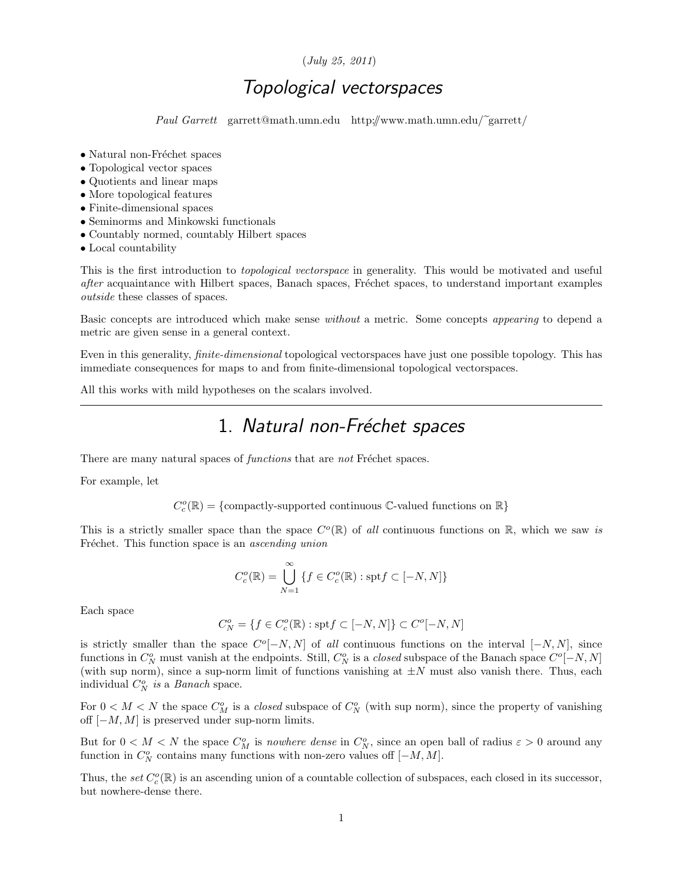#### (July 25, 2011)

## Topological vectorspaces

Paul Garrett garrett@math.umn.edu http://www.math.umn.edu/~garrett/

- $\bullet$  Natural non-Fréchet spaces
- Topological vector spaces
- Quotients and linear maps
- More topological features
- Finite-dimensional spaces
- Seminorms and Minkowski functionals
- Countably normed, countably Hilbert spaces
- Local countability

This is the first introduction to topological vectorspace in generality. This would be motivated and useful after acquaintance with Hilbert spaces, Banach spaces, Fréchet spaces, to understand important examples outside these classes of spaces.

Basic concepts are introduced which make sense without a metric. Some concepts appearing to depend a metric are given sense in a general context.

Even in this generality, finite-dimensional topological vectorspaces have just one possible topology. This has immediate consequences for maps to and from finite-dimensional topological vectorspaces.

All this works with mild hypotheses on the scalars involved.

## 1. Natural non-Fréchet spaces

There are many natural spaces of *functions* that are *not* Fréchet spaces.

For example, let

 $C^o_c(\mathbb{R})=\{{\rm compactly-supported~continuous}~\mathbb{C}\mbox{-valued~functions~on}~\mathbb{R}\}$ 

This is a strictly smaller space than the space  $C^o(\mathbb{R})$  of all continuous functions on  $\mathbb{R}$ , which we saw is Fréchet. This function space is an *ascending union* 

$$
C_c^o(\mathbb{R})=\bigcup_{N=1}^\infty\left\{f\in C_c^o(\mathbb{R}): \mathrm{spt} f\subset [-N,N]\right\}
$$

Each space

$$
C_N^o=\{f\in C_c^o({\mathbb R}): {\rm spt} f\subset [-N,N]\}\subset C^o[-N,N]
$$

is strictly smaller than the space  $C^{o}[-N, N]$  of all continuous functions on the interval  $[-N, N]$ , since functions in  $C_N^o$  must vanish at the endpoints. Still,  $C_N^o$  is a *closed* subspace of the Banach space  $C^o[-N, N]$ (with sup norm), since a sup-norm limit of functions vanishing at  $\pm N$  must also vanish there. Thus, each individual  $C_N^o$  is a Banach space.

For  $0 < M < N$  the space  $C_M^o$  is a *closed* subspace of  $C_N^o$  (with sup norm), since the property of vanishing off  $[-M, M]$  is preserved under sup-norm limits.

But for  $0 < M < N$  the space  $C_M^o$  is *nowhere dense* in  $C_N^o$ , since an open ball of radius  $\varepsilon > 0$  around any function in  $C_N^o$  contains many functions with non-zero values off  $[-M, M]$ .

Thus, the set  $C_c^o(\mathbb{R})$  is an ascending union of a countable collection of subspaces, each closed in its successor, but nowhere-dense there.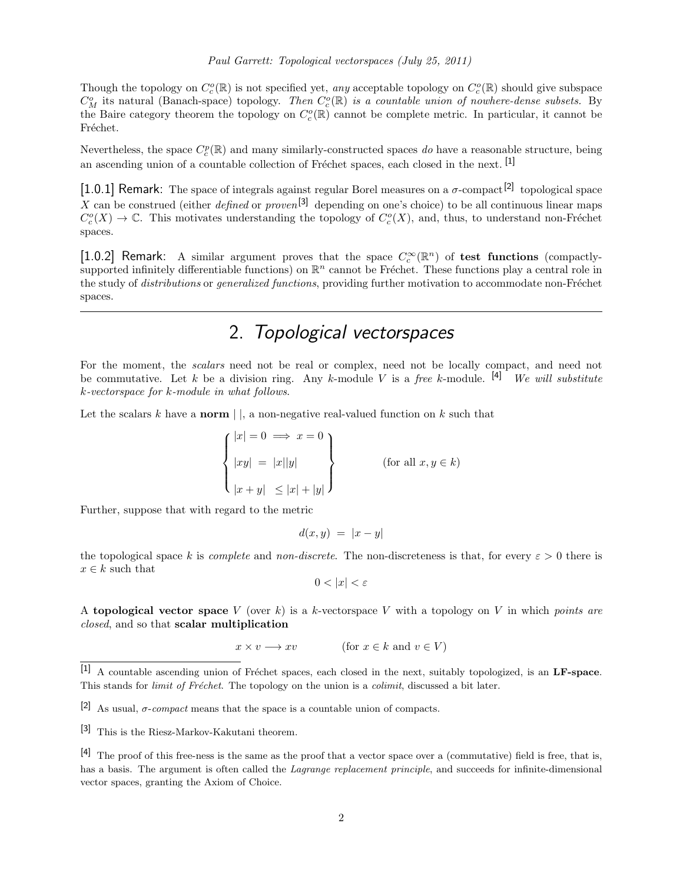Though the topology on  $C_c^o(\mathbb{R})$  is not specified yet, any acceptable topology on  $C_c^o(\mathbb{R})$  should give subspace  $C_M^o$  its natural (Banach-space) topology. Then  $C_c^o(\mathbb{R})$  is a countable union of nowhere-dense subsets. By the Baire category theorem the topology on  $C_c^o(\mathbb{R})$  cannot be complete metric. In particular, it cannot be Fréchet.

Nevertheless, the space  $C_c^p(\mathbb{R})$  and many similarly-constructed spaces do have a reasonable structure, being an ascending union of a countable collection of Fréchet spaces, each closed in the next.  $[1]$ 

[1.0.1] Remark: The space of integrals against regular Borel measures on a  $\sigma$ -compact<sup>[2]</sup> topological space X can be construed (either *defined* or *proven*<sup>[3]</sup> depending on one's choice) to be all continuous linear maps  $C_c^o(X) \to \mathbb{C}$ . This motivates understanding the topology of  $C_c^o(X)$ , and, thus, to understand non-Fréchet spaces.

[1.0.2] Remark: A similar argument proves that the space  $C_c^{\infty}(\mathbb{R}^n)$  of test functions (compactlysupported infinitely differentiable functions) on  $\mathbb{R}^n$  cannot be Fréchet. These functions play a central role in the study of *distributions* or *generalized functions*, providing further motivation to accommodate non-Fréchet spaces.

#### 2. Topological vectorspaces

For the moment, the *scalars* need not be real or complex, need not be locally compact, and need not be commutative. Let k be a division ring. Any k-module V is a free k-module.  $[4]$  We will substitute k-vectorspace for k-module in what follows.

Let the scalars  $k$  have a **norm**  $\vert \cdot \vert$ , a non-negative real-valued function on  $k$  such that

$$
\begin{cases} |x| = 0 \implies x = 0 \\ |xy| = |x||y| \\ |x + y| \le |x| + |y| \end{cases}
$$
 (for all  $x, y \in k$ )

Further, suppose that with regard to the metric

$$
d(x, y) = |x - y|
$$

the topological space k is *complete* and *non-discrete*. The non-discreteness is that, for every  $\varepsilon > 0$  there is  $x \in k$  such that

$$
0<|x|<\varepsilon
$$

A topological vector space V (over k) is a k-vector space V with a topology on V in which points are closed, and so that scalar multiplication

 $x \times v \longrightarrow xv$  (for  $x \in k$  and  $v \in V$ )

[3] This is the Riesz-Markov-Kakutani theorem.

 $[1]$  A countable ascending union of Fréchet spaces, each closed in the next, suitably topologized, is an LF-space. This stands for *limit of Fréchet*. The topology on the union is a *colimit*, discussed a bit later.

<sup>[2]</sup> As usual,  $\sigma$ -compact means that the space is a countable union of compacts.

 $[4]$  The proof of this free-ness is the same as the proof that a vector space over a (commutative) field is free, that is, has a basis. The argument is often called the Lagrange replacement principle, and succeeds for infinite-dimensional vector spaces, granting the Axiom of Choice.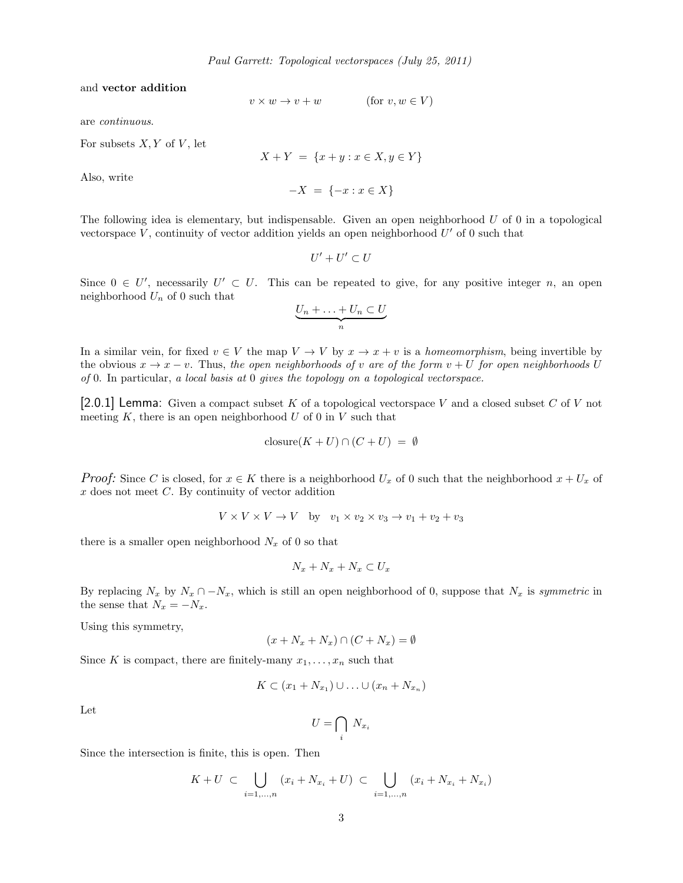and vector addition

$$
v \times w \to v + w \qquad (\text{for } v, w \in V)
$$

are continuous.

For subsets  $X, Y$  of  $V$ , let

$$
X + Y = \{x + y : x \in X, y \in Y\}
$$

 $-X = \{-x : x \in X\}$ 

Also, write

The following idea is elementary, but indispensable. Given an open neighborhood 
$$
U
$$
 of 0 in a topological  
vectorspace  $V$ , continuity of vector addition yields an open neighborhood  $U'$  of 0 such that

$$
U'+U'\subset U
$$

Since  $0 \in U'$ , necessarily  $U' \subset U$ . This can be repeated to give, for any positive integer n, an open neighborhood  $U_n$  of 0 such that

$$
\underbrace{U_n + \ldots + U_n \subset U}_{n}
$$

In a similar vein, for fixed  $v \in V$  the map  $V \to V$  by  $x \to x + v$  is a *homeomorphism*, being invertible by the obvious  $x \to x - v$ . Thus, the open neighborhoods of v are of the form  $v + U$  for open neighborhoods U of 0. In particular, a local basis at 0 gives the topology on a topological vectorspace.

[2.0.1] Lemma: Given a compact subset K of a topological vectorspace V and a closed subset C of V not meeting  $K$ , there is an open neighborhood  $U$  of 0 in  $V$  such that

$$
closure(K + U) \cap (C + U) = \emptyset
$$

*Proof:* Since C is closed, for  $x \in K$  there is a neighborhood  $U_x$  of 0 such that the neighborhood  $x + U_x$  of  $x$  does not meet  $C$ . By continuity of vector addition

$$
V \times V \times V \to V
$$
 by  $v_1 \times v_2 \times v_3 \to v_1 + v_2 + v_3$ 

there is a smaller open neighborhood  $N_x$  of 0 so that

$$
N_x + N_x + N_x \subset U_x
$$

By replacing  $N_x$  by  $N_x \cap -N_x$ , which is still an open neighborhood of 0, suppose that  $N_x$  is symmetric in the sense that  $N_x = -N_x$ .

Using this symmetry,

$$
(x + N_x + N_x) \cap (C + N_x) = \emptyset
$$

Since K is compact, there are finitely-many  $x_1, \ldots, x_n$  such that

$$
K \subset (x_1 + N_{x_1}) \cup \ldots \cup (x_n + N_{x_n})
$$

Let

$$
U = \bigcap_i \ N_{x_i}
$$

Since the intersection is finite, this is open. Then

$$
K + U \subset \bigcup_{i=1,...,n} (x_i + N_{x_i} + U) \subset \bigcup_{i=1,...,n} (x_i + N_{x_i} + N_{x_i})
$$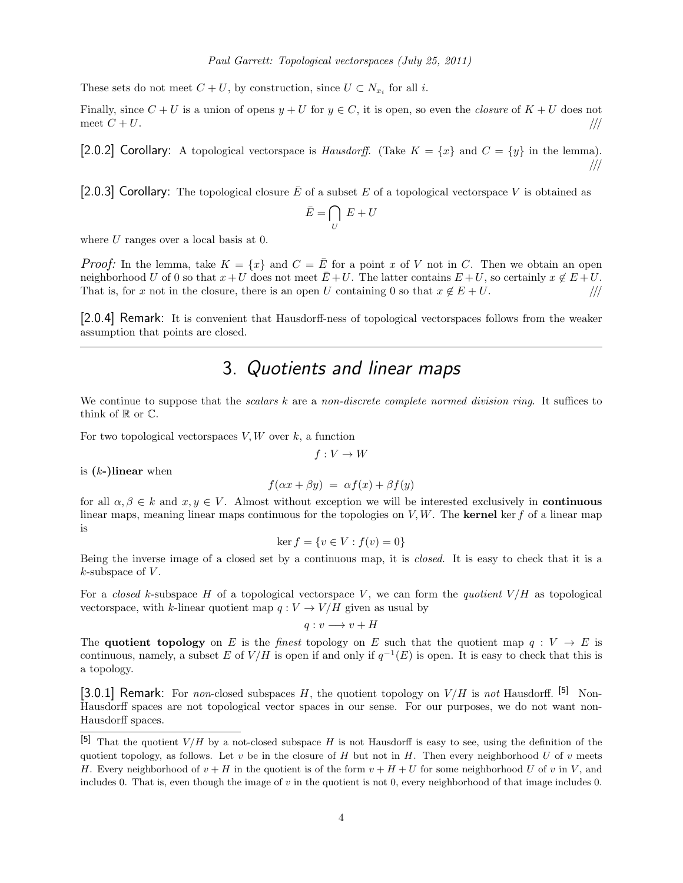These sets do not meet  $C + U$ , by construction, since  $U \subset N_{x_i}$  for all i.

Finally, since  $C + U$  is a union of opens  $y + U$  for  $y \in C$ , it is open, so even the *closure* of  $K + U$  does not meet  $C + U$ .

[2.0.2] Corollary: A topological vectorspace is *Hausdorff.* (Take  $K = \{x\}$  and  $C = \{y\}$  in the lemma). ///

[2.0.3] Corollary: The topological closure  $\bar{E}$  of a subset E of a topological vectorspace V is obtained as

$$
\bar{E} = \bigcap_U \, E + U
$$

where U ranges over a local basis at 0.

*Proof:* In the lemma, take  $K = \{x\}$  and  $C = \overline{E}$  for a point x of V not in C. Then we obtain an open neighborhood U of 0 so that  $x+U$  does not meet  $\overline{E}+U$ . The latter contains  $E+U$ , so certainly  $x \notin E+U$ . That is, for x not in the closure, there is an open U containing 0 so that  $x \notin E + U$ . ///

[2.0.4] Remark: It is convenient that Hausdorff-ness of topological vectorspaces follows from the weaker assumption that points are closed.

# 3. Quotients and linear maps

We continue to suppose that the *scalars* k are a non-discrete complete normed division ring. It suffices to think of  $\mathbb R$  or  $\mathbb C$ .

For two topological vectorspaces  $V, W$  over  $k$ , a function

$$
f: V \to W
$$

is  $(k-)$ linear when

$$
f(\alpha x + \beta y) = \alpha f(x) + \beta f(y)
$$

for all  $\alpha, \beta \in k$  and  $x, y \in V$ . Almost without exception we will be interested exclusively in **continuous** linear maps, meaning linear maps continuous for the topologies on  $V, W$ . The **kernel** ker f of a linear map is

$$
\ker f = \{ v \in V : f(v) = 0 \}
$$

Being the inverse image of a closed set by a continuous map, it is closed. It is easy to check that it is a  $k$ -subspace of  $V$ .

For a closed k-subspace H of a topological vectorspace V, we can form the quotient  $V/H$  as topological vectorspace, with k-linear quotient map  $q: V \to V/H$  given as usual by

$$
q:v\longrightarrow v+H
$$

The quotient topology on E is the finest topology on E such that the quotient map  $q: V \to E$  is continuous, namely, a subset E of  $V/H$  is open if and only if  $q^{-1}(E)$  is open. It is easy to check that this is a topology.

[3.0.1] Remark: For non-closed subspaces H, the quotient topology on  $V/H$  is not Hausdorff. [5] Non-Hausdorff spaces are not topological vector spaces in our sense. For our purposes, we do not want non-Hausdorff spaces.

<sup>[5]</sup> That the quotient  $V/H$  by a not-closed subspace H is not Hausdorff is easy to see, using the definition of the quotient topology, as follows. Let v be in the closure of H but not in H. Then every neighborhood U of v meets H. Every neighborhood of  $v + H$  in the quotient is of the form  $v + H + U$  for some neighborhood U of v in V, and includes 0. That is, even though the image of v in the quotient is not 0, every neighborhood of that image includes 0.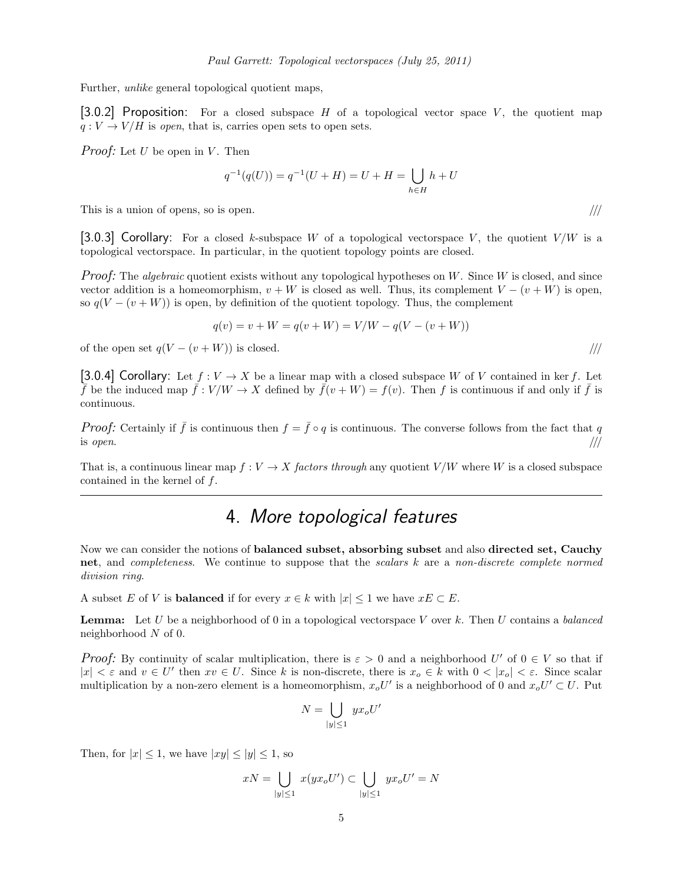Further, unlike general topological quotient maps,

[3.0.2] Proposition: For a closed subspace H of a topological vector space V, the quotient map  $q: V \to V/H$  is open, that is, carries open sets to open sets.

*Proof:* Let U be open in V. Then

$$
q^{-1}(q(U)) = q^{-1}(U + H) = U + H = \bigcup_{h \in H} h + U
$$

This is a union of opens, so is open.  $/$ ///

[3.0.3] Corollary: For a closed k-subspace W of a topological vectorspace V, the quotient  $V/W$  is a topological vectorspace. In particular, in the quotient topology points are closed.

*Proof:* The *algebraic* quotient exists without any topological hypotheses on W. Since W is closed, and since vector addition is a homeomorphism,  $v + W$  is closed as well. Thus, its complement  $V - (v + W)$  is open, so  $q(V - (v + W))$  is open, by definition of the quotient topology. Thus, the complement

$$
q(v) = v + W = q(v + W) = V/W - q(V - (v + W))
$$

of the open set  $q(V - (v + W))$  is closed. ////

[3.0.4] Corollary: Let  $f: V \to X$  be a linear map with a closed subspace W of V contained in ker f. Let  $\bar{f}$  be the induced map  $\bar{f}:V/W\to X$  defined by  $\bar{f}(v+W)=f(v)$ . Then f is continuous if and only if  $\bar{f}$  is continuous.

*Proof:* Certainly if  $\bar{f}$  is continuous then  $f = \bar{f} \circ q$  is continuous. The converse follows from the fact that q is open.  $/$ ///

That is, a continuous linear map  $f: V \to X$  factors through any quotient  $V/W$  where W is a closed subspace contained in the kernel of f.

#### 4. More topological features

Now we can consider the notions of balanced subset, absorbing subset and also directed set, Cauchy net, and completeness. We continue to suppose that the scalars k are a non-discrete complete normed division ring.

A subset E of V is **balanced** if for every  $x \in k$  with  $|x| \leq 1$  we have  $xE \subset E$ .

**Lemma:** Let U be a neighborhood of 0 in a topological vectorspace V over k. Then U contains a balanced neighborhood N of 0.

*Proof:* By continuity of scalar multiplication, there is  $\varepsilon > 0$  and a neighborhood U' of  $0 \in V$  so that if  $|x| < \varepsilon$  and  $v \in U'$  then  $xv \in U$ . Since k is non-discrete, there is  $x_o \in k$  with  $0 < |x_o| < \varepsilon$ . Since scalar multiplication by a non-zero element is a homeomorphism,  $x_0U'$  is a neighborhood of 0 and  $x_0U' \subset U$ . Put

$$
N = \bigcup_{|y| \le 1} y x_o U'
$$

Then, for  $|x| \leq 1$ , we have  $|xy| \leq |y| \leq 1$ , so

$$
xN = \bigcup_{|y| \le 1} x(yx_o U') \subset \bigcup_{|y| \le 1} yx_o U' = N
$$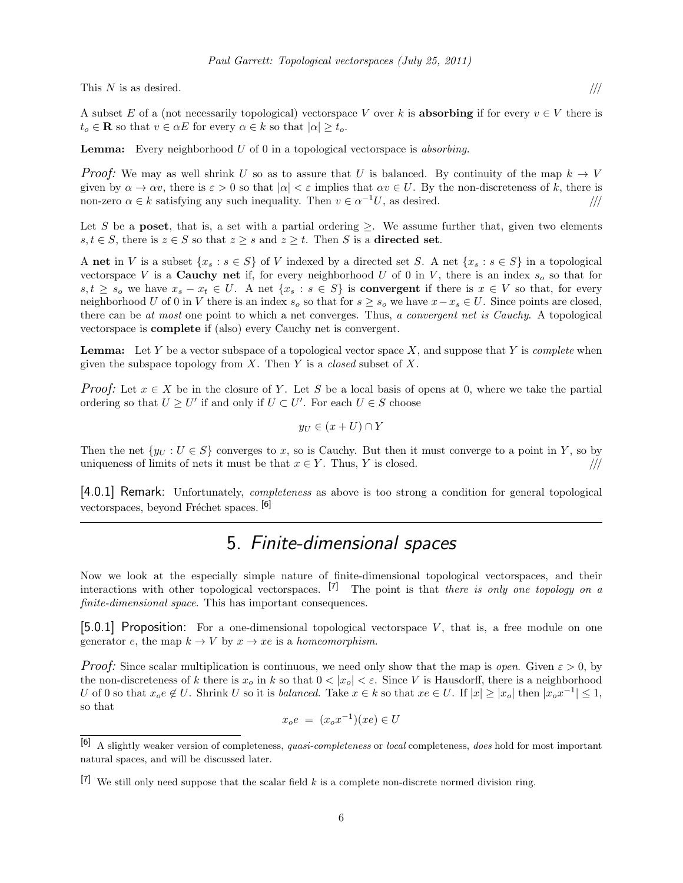This  $N$  is as desired.

$$
\frac{1}{1}
$$

A subset E of a (not necessarily topological) vectorspace V over k is **absorbing** if for every  $v \in V$  there is  $t_o \in \mathbf{R}$  so that  $v \in \alpha E$  for every  $\alpha \in k$  so that  $|\alpha| \geq t_o$ .

**Lemma:** Every neighborhood  $U$  of 0 in a topological vectorspace is absorbing.

*Proof:* We may as well shrink U so as to assure that U is balanced. By continuity of the map  $k \to V$ given by  $\alpha \to \alpha v$ , there is  $\varepsilon > 0$  so that  $|\alpha| < \varepsilon$  implies that  $\alpha v \in U$ . By the non-discreteness of k, there is non-zero  $\alpha \in k$  satisfying any such inequality. Then  $v \in \alpha^{-1}U$ , as desired.  $\|\|$ 

Let S be a poset, that is, a set with a partial ordering  $\geq$ . We assume further that, given two elements s,  $t \in S$ , there is  $z \in S$  so that  $z \geq s$  and  $z \geq t$ . Then S is a **directed set**.

A net in V is a subset  $\{x_s : s \in S\}$  of V indexed by a directed set S. A net  $\{x_s : s \in S\}$  in a topological vectorspace V is a **Cauchy net** if, for every neighborhood U of 0 in V, there is an index  $s_o$  so that for  $s, t \geq s_0$  we have  $x_s - x_t \in U$ . A net  $\{x_s : s \in S\}$  is **convergent** if there is  $x \in V$  so that, for every neighborhood U of 0 in V there is an index  $s_o$  so that for  $s \geq s_o$  we have  $x-x_s \in U$ . Since points are closed, there can be at most one point to which a net converges. Thus, a convergent net is Cauchy. A topological vectorspace is complete if (also) every Cauchy net is convergent.

**Lemma:** Let Y be a vector subspace of a topological vector space X, and suppose that Y is *complete* when given the subspace topology from X. Then Y is a *closed* subset of X.

*Proof:* Let  $x \in X$  be in the closure of Y. Let S be a local basis of opens at 0, where we take the partial ordering so that  $U \geq U'$  if and only if  $U \subset U'$ . For each  $U \in S$  choose

$$
y_U \in (x+U) \cap Y
$$

Then the net  $\{y_U : U \in S\}$  converges to x, so is Cauchy. But then it must converge to a point in Y, so by uniqueness of limits of nets it must be that  $x \in Y$ . Thus, Y is closed. ////

[4.0.1] Remark: Unfortunately, completeness as above is too strong a condition for general topological vectorspaces, beyond Fréchet spaces. [6]

#### 5. Finite-dimensional spaces

Now we look at the especially simple nature of finite-dimensional topological vectorspaces, and their interactions with other topological vectorspaces. <sup>[7]</sup> The point is that there is only one topology on a finite-dimensional space. This has important consequences.

[5.0.1] Proposition: For a one-dimensional topological vectorspace V, that is, a free module on one generator e, the map  $k \to V$  by  $x \to xe$  is a homeomorphism.

**Proof:** Since scalar multiplication is continuous, we need only show that the map is open. Given  $\varepsilon > 0$ , by the non-discreteness of k there is  $x_o$  in k so that  $0 < |x_o| < \varepsilon$ . Since V is Hausdorff, there is a neighborhood U of 0 so that  $x_0e \notin U$ . Shrink U so it is balanced. Take  $x \in k$  so that  $xe \in U$ . If  $|x| \geq |x_0|$  then  $|x_0x^{-1}| \leq 1$ , so that

$$
x_o e = (x_o x^{-1})(xe) \in U
$$

<sup>[6]</sup> A slightly weaker version of completeness, quasi-completeness or local completeness, does hold for most important natural spaces, and will be discussed later.

<sup>[7]</sup> We still only need suppose that the scalar field k is a complete non-discrete normed division ring.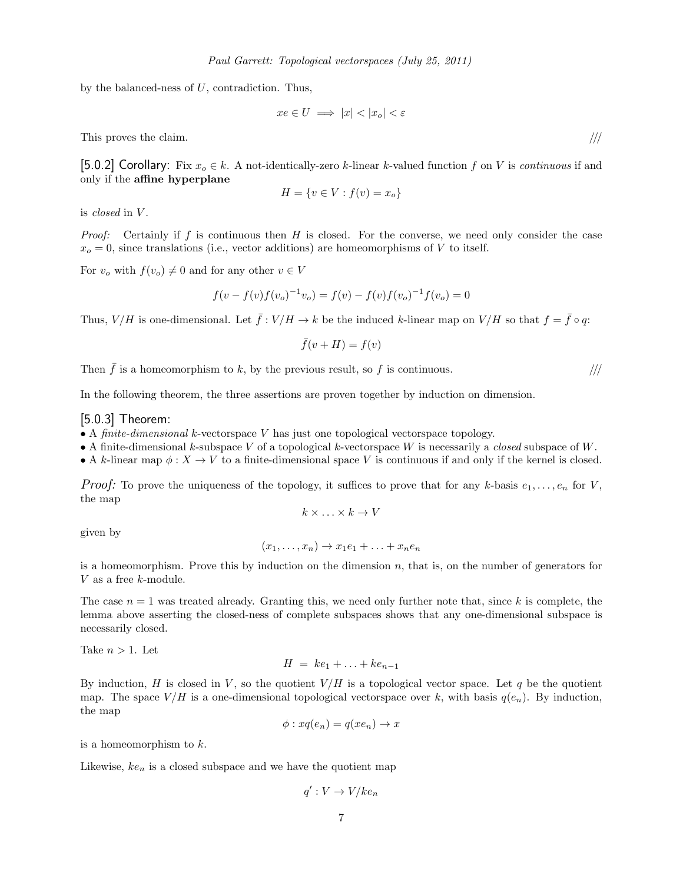by the balanced-ness of U, contradiction. Thus,

$$
xe \in U \implies |x| < |x_o| < \varepsilon
$$

This proves the claim.  $/$ ///

[5.0.2] Corollary: Fix  $x_o \in k$ . A not-identically-zero k-linear k-valued function f on V is continuous if and only if the affine hyperplane

$$
H = \{v \in V : f(v) = x_o\}
$$

is *closed* in V.

*Proof:* Certainly if f is continuous then H is closed. For the converse, we need only consider the case  $x<sub>o</sub> = 0$ , since translations (i.e., vector additions) are homeomorphisms of V to itself.

For  $v_o$  with  $f(v_o) \neq 0$  and for any other  $v \in V$ 

$$
f(v - f(v)f(v_o)^{-1}v_o) = f(v) - f(v)f(v_o)^{-1}f(v_o) = 0
$$

Thus,  $V/H$  is one-dimensional. Let  $\bar{f}: V/H \to k$  be the induced k-linear map on  $V/H$  so that  $f = \bar{f} \circ q$ :

 $\bar{f}(v + H) = f(v)$ 

Then  $\bar{f}$  is a homeomorphism to k, by the previous result, so f is continuous.  $\frac{1}{1}$ 

In the following theorem, the three assertions are proven together by induction on dimension.

#### $[5.0.3]$  Theorem:

- A finite-dimensional k-vectorspace V has just one topological vectorspace topology.
- A finite-dimensional k-subspace V of a topological k-vectorspace W is necessarily a *closed* subspace of W.
- A k-linear map  $\phi: X \to V$  to a finite-dimensional space V is continuous if and only if the kernel is closed.

*Proof:* To prove the uniqueness of the topology, it suffices to prove that for any k-basis  $e_1, \ldots, e_n$  for V, the map

$$
k \times \ldots \times k \to V
$$

given by

$$
(x_1,\ldots,x_n)\to x_1e_1+\ldots+x_ne_n
$$

is a homeomorphism. Prove this by induction on the dimension  $n$ , that is, on the number of generators for V as a free k-module.

The case  $n = 1$  was treated already. Granting this, we need only further note that, since k is complete, the lemma above asserting the closed-ness of complete subspaces shows that any one-dimensional subspace is necessarily closed.

Take  $n > 1$ . Let

$$
H = ke_1 + \ldots + ke_{n-1}
$$

By induction, H is closed in V, so the quotient  $V/H$  is a topological vector space. Let q be the quotient map. The space  $V/H$  is a one-dimensional topological vectorspace over k, with basis  $q(e_n)$ . By induction, the map

$$
\phi: xq(e_n) = q(xe_n) \to x
$$

is a homeomorphism to  $k$ .

Likewise,  $ke_n$  is a closed subspace and we have the quotient map

$$
q': V \to V/ke_n
$$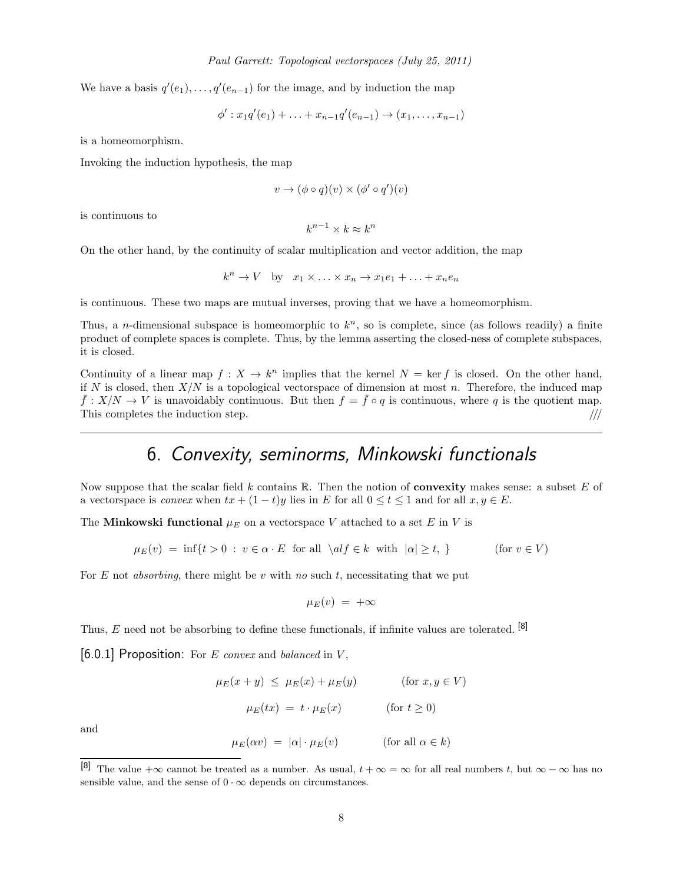We have a basis  $q'(e_1), \ldots, q'(e_{n-1})$  for the image, and by induction the map

$$
\phi': x_1 q'(e_1) + \ldots + x_{n-1} q'(e_{n-1}) \to (x_1, \ldots, x_{n-1})
$$

is a homeomorphism.

Invoking the induction hypothesis, the map

$$
v \to (\phi \circ q)(v) \times (\phi' \circ q')(v)
$$

is continuous to

$$
k^{n-1} \times k \approx k^n
$$

On the other hand, by the continuity of scalar multiplication and vector addition, the map

$$
k^n \to V
$$
 by  $x_1 \times \ldots \times x_n \to x_1 e_1 + \ldots + x_n e_n$ 

is continuous. These two maps are mutual inverses, proving that we have a homeomorphism.

Thus, a *n*-dimensional subspace is homeomorphic to  $k<sup>n</sup>$ , so is complete, since (as follows readily) a finite product of complete spaces is complete. Thus, by the lemma asserting the closed-ness of complete subspaces, it is closed.

Continuity of a linear map  $f: X \to k^n$  implies that the kernel  $N = \text{ker } f$  is closed. On the other hand, if N is closed, then  $X/N$  is a topological vectorspace of dimension at most n. Therefore, the induced map  $\bar{f}: X/N \to V$  is unavoidably continuous. But then  $f = \bar{f} \circ q$  is continuous, where q is the quotient map. This completes the induction step.  $\frac{1}{2}$  ///

### 6. Convexity, seminorms, Minkowski functionals

Now suppose that the scalar field k contains  $\mathbb R$ . Then the notion of **convexity** makes sense: a subset E of a vectorspace is *convex* when  $tx + (1-t)y$  lies in E for all  $0 \le t \le 1$  and for all  $x, y \in E$ .

The Minkowski functional  $\mu_E$  on a vector space V attached to a set E in V is

$$
\mu_E(v) = \inf\{t > 0 : v \in \alpha \cdot E \text{ for all } \left| \alpha t \in k \text{ with } |\alpha| \ge t, \} \tag{for } v \in V
$$

For  $E$  not *absorbing*, there might be  $v$  with no such  $t$ , necessitating that we put

$$
\mu_E(v) \;=\; +\infty
$$

Thus, E need not be absorbing to define these functionals, if infinite values are tolerated.  $[8]$ 

 $[6.0.1]$  Proposition: For E convex and balanced in V,

$$
\mu_E(x + y) \le \mu_E(x) + \mu_E(y) \qquad \text{(for } x, y \in V)
$$

$$
\mu_E(tx) = t \cdot \mu_E(x) \qquad \text{(for } t \ge 0)
$$

and

 $\mu_E(\alpha v) = |\alpha| \cdot \mu_E(v)$  (for all  $\alpha \in k$ )

<sup>[8]</sup> The value + $\infty$  cannot be treated as a number. As usual,  $t + \infty = \infty$  for all real numbers t, but  $\infty - \infty$  has no sensible value, and the sense of  $0 \cdot \infty$  depends on circumstances.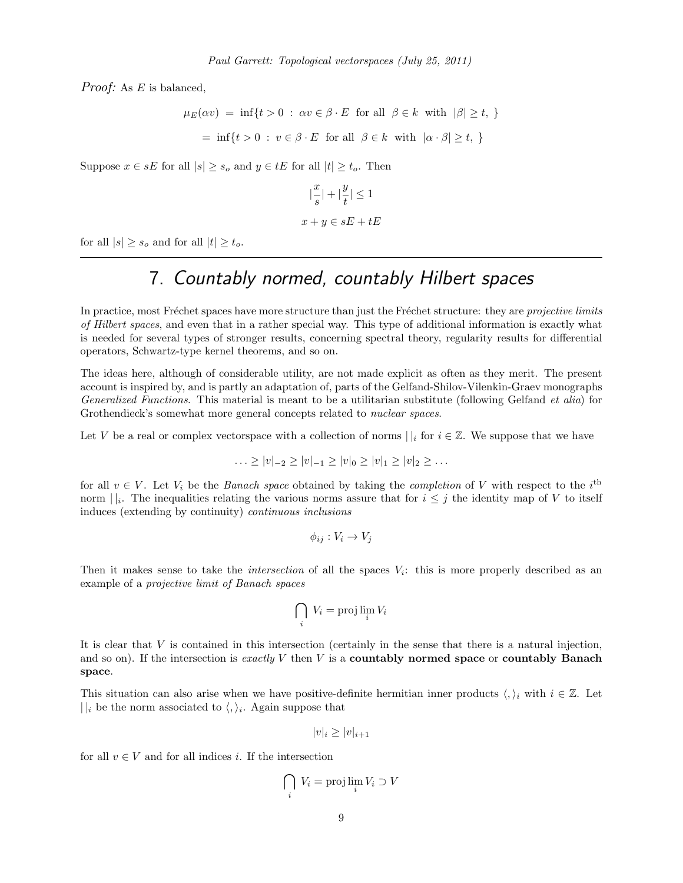Proof: As E is balanced,

 $\mu_E(\alpha v) = \inf\{t > 0 : \alpha v \in \beta \cdot E \text{ for all } \beta \in k \text{ with } |\beta| \geq t, \}$  $= \inf\{t > 0 : v \in \beta \cdot E \text{ for all } \beta \in k \text{ with } |\alpha \cdot \beta| \geq t, \}$ 

Suppose  $x \in sE$  for all  $|s| \geq s_o$  and  $y \in tE$  for all  $|t| \geq t_o$ . Then

$$
|\frac{x}{s}| + |\frac{y}{t}| \le 1
$$
  

$$
x + y \in sE + tE
$$

for all  $|s| \geq s_o$  and for all  $|t| \geq t_o$ .

# 7. Countably normed, countably Hilbert spaces

In practice, most Fréchet spaces have more structure than just the Fréchet structure: they are projective limits of Hilbert spaces, and even that in a rather special way. This type of additional information is exactly what is needed for several types of stronger results, concerning spectral theory, regularity results for differential operators, Schwartz-type kernel theorems, and so on.

The ideas here, although of considerable utility, are not made explicit as often as they merit. The present account is inspired by, and is partly an adaptation of, parts of the Gelfand-Shilov-Vilenkin-Graev monographs Generalized Functions. This material is meant to be a utilitarian substitute (following Gelfand et alia) for Grothendieck's somewhat more general concepts related to *nuclear spaces*.

Let V be a real or complex vectorspace with a collection of norms  $||_i$  for  $i \in \mathbb{Z}$ . We suppose that we have

$$
\ldots \ge |v|_{-2} \ge |v|_{-1} \ge |v|_0 \ge |v|_1 \ge |v|_2 \ge \ldots
$$

for all  $v \in V$ . Let  $V_i$  be the *Banach space* obtained by taking the *completion* of V with respect to the i<sup>th</sup> norm  $||_i$ . The inequalities relating the various norms assure that for  $i \leq j$  the identity map of V to itself induces (extending by continuity) continuous inclusions

$$
\phi_{ij}: V_i \to V_j
$$

Then it makes sense to take the *intersection* of all the spaces  $V_i$ : this is more properly described as an example of a projective limit of Banach spaces

$$
\bigcap_i V_i = \text{proj}\lim_i V_i
$$

It is clear that  $V$  is contained in this intersection (certainly in the sense that there is a natural injection, and so on). If the intersection is exactly V then V is a **countably normed space** or **countably Banach** space.

This situation can also arise when we have positive-definite hermitian inner products  $\langle, \rangle_i$  with  $i \in \mathbb{Z}$ . Let  $||i$  be the norm associated to  $\langle,\rangle_i$ . Again suppose that

$$
|v|_i \ge |v|_{i+1}
$$

for all  $v \in V$  and for all indices i. If the intersection

$$
\bigcap_i V_i = \text{proj}\lim_i V_i \supset V
$$